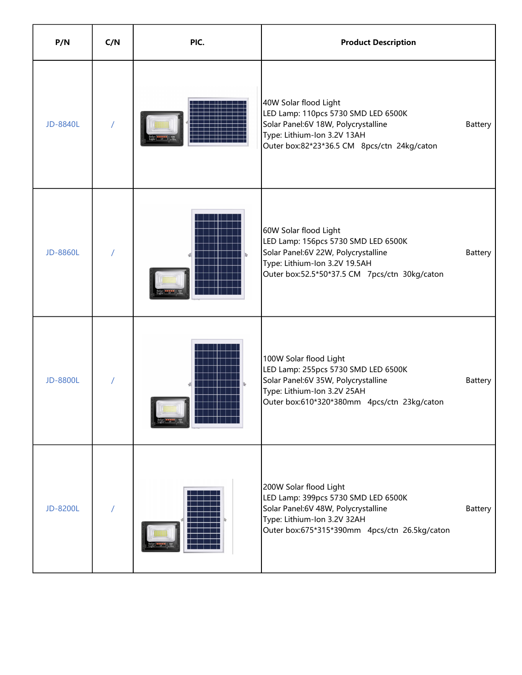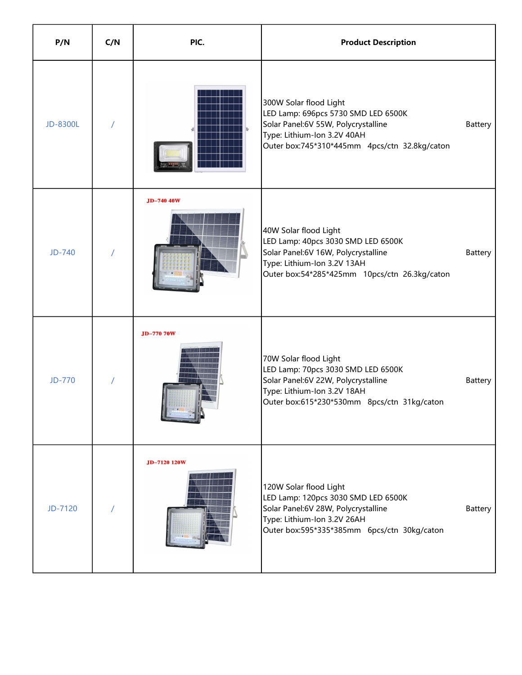| P/N           | C/N | PIC.         | <b>Product Description</b>                                                                                                                                                                      |
|---------------|-----|--------------|-------------------------------------------------------------------------------------------------------------------------------------------------------------------------------------------------|
| JD-8300L      |     |              | 300W Solar flood Light<br>LED Lamp: 696pcs 5730 SMD LED 6500K<br>Solar Panel:6V 55W, Polycrystalline<br>Battery<br>Type: Lithium-Ion 3.2V 40AH<br>Outer box:745*310*445mm 4pcs/ctn 32.8kg/caton |
| JD-740        |     | JD-740 40W   | 40W Solar flood Light<br>LED Lamp: 40pcs 3030 SMD LED 6500K<br>Solar Panel:6V 16W, Polycrystalline<br>Battery<br>Type: Lithium-Ion 3.2V 13AH<br>Outer box:54*285*425mm  10pcs/ctn  26.3kg/caton |
| <b>JD-770</b> |     | JD-770 70W   | 70W Solar flood Light<br>LED Lamp: 70pcs 3030 SMD LED 6500K<br>Solar Panel:6V 22W, Polycrystalline<br>Battery<br>Type: Lithium-Ion 3.2V 18AH<br>Outer box:615*230*530mm 8pcs/ctn 31kg/caton     |
| JD-7120       |     | JD-7120 120W | 120W Solar flood Light<br>LED Lamp: 120pcs 3030 SMD LED 6500K<br>Solar Panel:6V 28W, Polycrystalline<br>Battery<br>Type: Lithium-Ion 3.2V 26AH<br>Outer box:595*335*385mm 6pcs/ctn 30kg/caton   |